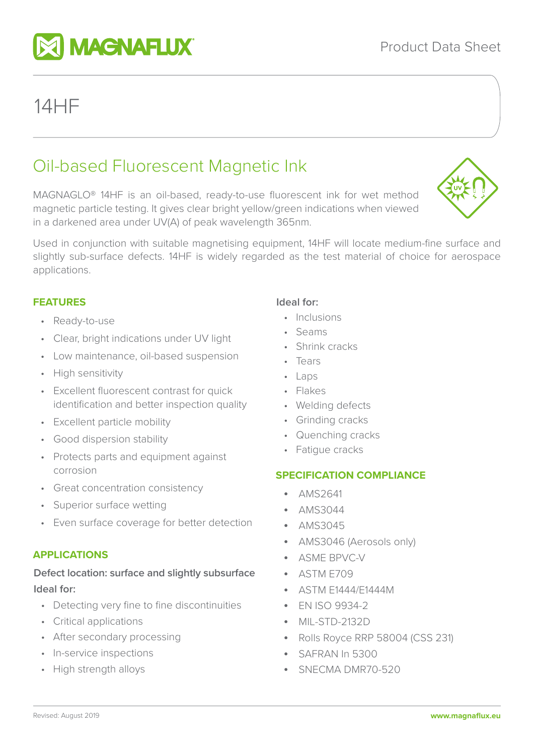# Oil-based Fluorescent Magnetic Ink

MAGNAGLO® 14HF is an oil-based, ready-to-use fluorescent ink for wet method magnetic particle testing. It gives clear bright yellow/green indications when viewed in a darkened area under UV(A) of peak wavelength 365nm.

Used in conjunction with suitable magnetising equipment, 14HF will locate medium-fine surface and slightly sub-surface defects. 14HF is widely regarded as the test material of choice for aerospace applications.

# **FEATURES**

14HF

- Ready-to-use
- Clear, bright indications under UV light
- Low maintenance, oil-based suspension
- High sensitivity
- Excellent fluorescent contrast for quick identification and better inspection quality
- Excellent particle mobility
- Good dispersion stability
- Protects parts and equipment against corrosion
- Great concentration consistency
- Superior surface wetting
- Even surface coverage for better detection

# **APPLICATIONS**

# **Defect location: surface and slightly subsurface Ideal for:**

- Detecting very fine to fine discontinuities
- Critical applications
- After secondary processing
- In-service inspections
- High strength alloys

#### **Ideal for:**

- Inclusions
- Seams
- Shrink cracks
- Tears
- Laps
- Flakes
- Welding defects
- Grinding cracks
- Quenching cracks
- Fatigue cracks

## **SPECIFICATION COMPLIANCE**

- AMS2641
- AMS3044
- AMS3045
- AMS3046 (Aerosols only)
- ASME BPVC-V
- ASTM E709
- ASTM E1444/E1444M
- EN ISO 9934-2
- MIL-STD-2132D
- Rolls Royce RRP 58004 (CSS 231)
- SAFRAN In 5300
- SNECMA DMR70-520



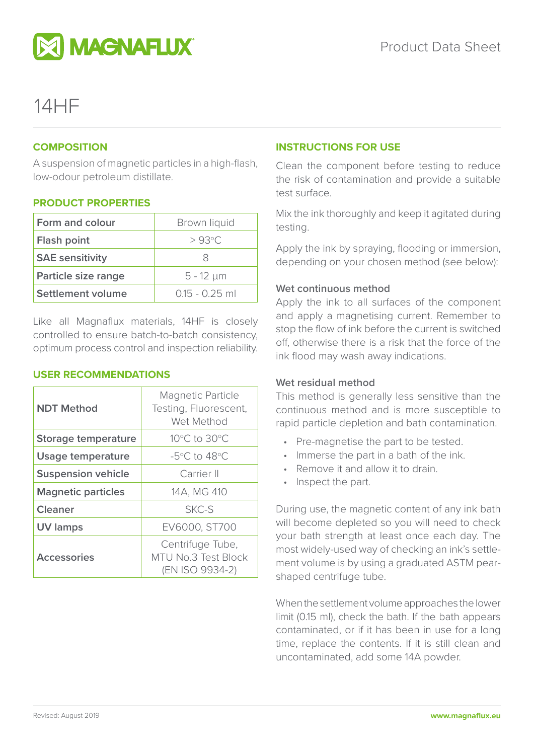

# 14HF

### **COMPOSITION**

A suspension of magnetic particles in a high-flash, low-odour petroleum distillate.

## **PRODUCT PROPERTIES**

| Form and colour        | Brown liquid     |
|------------------------|------------------|
| Flash point            | $>93^{\circ}$ C  |
| <b>SAE</b> sensitivity | 8                |
| Particle size range    | $5 - 12 \mu m$   |
| Settlement volume      | $0.15 - 0.25$ ml |

Like all Magnaflux materials, 14HF is closely controlled to ensure batch-to-batch consistency, optimum process control and inspection reliability.

#### **USER RECOMMENDATIONS**

| <b>NDT Method</b>          | <b>Magnetic Particle</b><br>Testing, Fluorescent,<br>Wet Method   |
|----------------------------|-------------------------------------------------------------------|
| <b>Storage temperature</b> | 10°C to 30°C                                                      |
| Usage temperature          | $-5^{\circ}$ C to 48 $^{\circ}$ C                                 |
| <b>Suspension vehicle</b>  | Carrier II                                                        |
| <b>Magnetic particles</b>  | 14A, MG 410                                                       |
| <b>Cleaner</b>             | SKC-S                                                             |
| <b>UV lamps</b>            | EV6000, ST700                                                     |
| <b>Accessories</b>         | Centrifuge Tube,<br><b>MTU No.3 Test Block</b><br>(EN ISO 9934-2) |

### **INSTRUCTIONS FOR USE**

Clean the component before testing to reduce the risk of contamination and provide a suitable test surface.

Mix the ink thoroughly and keep it agitated during testing.

Apply the ink by spraying, flooding or immersion, depending on your chosen method (see below):

#### **Wet continuous method**

Apply the ink to all surfaces of the component and apply a magnetising current. Remember to stop the flow of ink before the current is switched off, otherwise there is a risk that the force of the ink flood may wash away indications.

#### **Wet residual method**

This method is generally less sensitive than the continuous method and is more susceptible to rapid particle depletion and bath contamination.

- Pre-magnetise the part to be tested.
- Immerse the part in a bath of the ink.
- Remove it and allow it to drain.
- Inspect the part.

During use, the magnetic content of any ink bath will become depleted so you will need to check your bath strength at least once each day. The most widely-used way of checking an ink's settlement volume is by using a graduated ASTM pearshaped centrifuge tube.

When the settlement volume approaches the lower limit (0.15 ml), check the bath. If the bath appears contaminated, or if it has been in use for a long time, replace the contents. If it is still clean and uncontaminated, add some 14A powder.